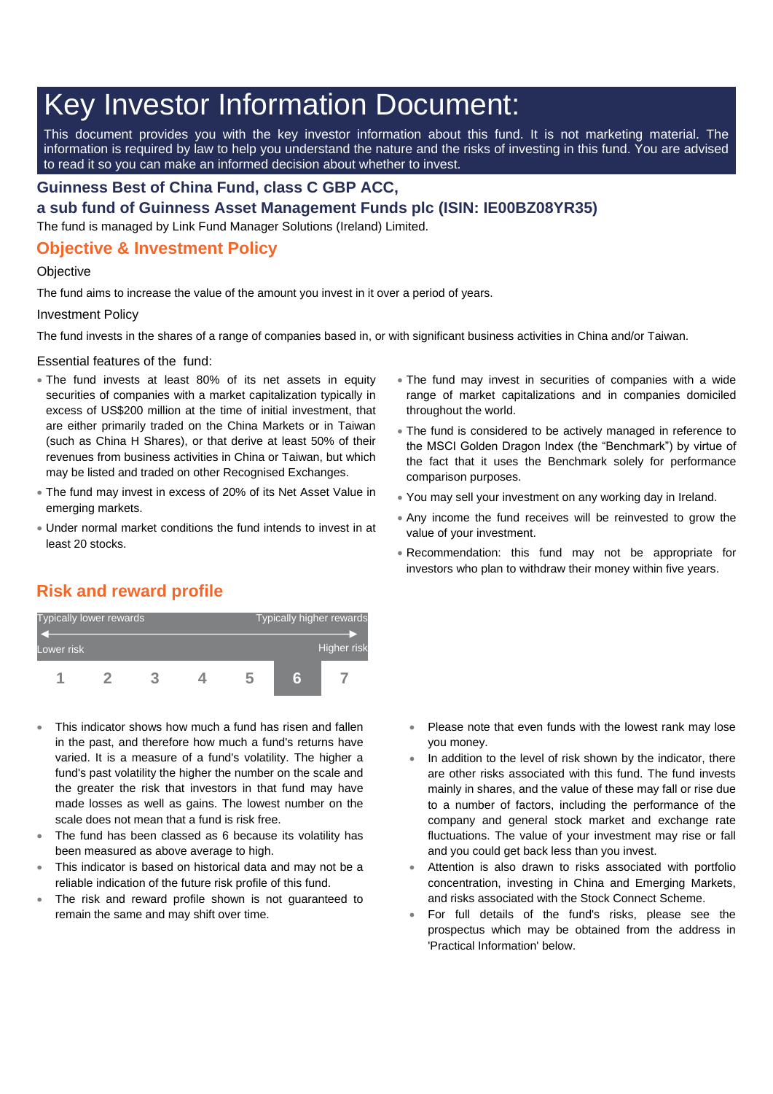# Key Investor Information Document:

This document provides you with the key investor information about this fund. It is not marketing material. The information is required by law to help you understand the nature and the risks of investing in this fund. You are advised to read it so you can make an informed decision about whether to invest.

### **Guinness Best of China Fund, class C GBP ACC,**

**a sub fund of Guinness Asset Management Funds plc (ISIN: IE00BZ08YR35)**

The fund is managed by Link Fund Manager Solutions (Ireland) Limited.

## **Objective & Investment Policy**

#### **Objective**

The fund aims to increase the value of the amount you invest in it over a period of years.

#### Investment Policy

The fund invests in the shares of a range of companies based in, or with significant business activities in China and/or Taiwan.

Essential features of the fund:

- The fund invests at least 80% of its net assets in equity securities of companies with a market capitalization typically in excess of US\$200 million at the time of initial investment, that are either primarily traded on the China Markets or in Taiwan (such as China H Shares), or that derive at least 50% of their revenues from business activities in China or Taiwan, but which may be listed and traded on other Recognised Exchanges.
- The fund may invest in excess of 20% of its Net Asset Value in emerging markets.
- Under normal market conditions the fund intends to invest in at least 20 stocks.
- The fund may invest in securities of companies with a wide range of market capitalizations and in companies domiciled throughout the world.
- The fund is considered to be actively managed in reference to the MSCI Golden Dragon Index (the "Benchmark") by virtue of the fact that it uses the Benchmark solely for performance comparison purposes.
- You may sell your investment on any working day in Ireland.
- Any income the fund receives will be reinvested to grow the value of your investment.
- Recommendation: this fund may not be appropriate for investors who plan to withdraw their money within five years.

# **Risk and reward profile**



- This indicator shows how much a fund has risen and fallen in the past, and therefore how much a fund's returns have varied. It is a measure of a fund's volatility. The higher a fund's past volatility the higher the number on the scale and the greater the risk that investors in that fund may have made losses as well as gains. The lowest number on the scale does not mean that a fund is risk free.
- The fund has been classed as 6 because its volatility has been measured as above average to high.
- This indicator is based on historical data and may not be a reliable indication of the future risk profile of this fund.
- The risk and reward profile shown is not guaranteed to remain the same and may shift over time.
- Please note that even funds with the lowest rank may lose you money.
- In addition to the level of risk shown by the indicator, there are other risks associated with this fund. The fund invests mainly in shares, and the value of these may fall or rise due to a number of factors, including the performance of the company and general stock market and exchange rate fluctuations. The value of your investment may rise or fall and you could get back less than you invest.
- Attention is also drawn to risks associated with portfolio concentration, investing in China and Emerging Markets, and risks associated with the Stock Connect Scheme.
- For full details of the fund's risks, please see the prospectus which may be obtained from the address in 'Practical Information' below.